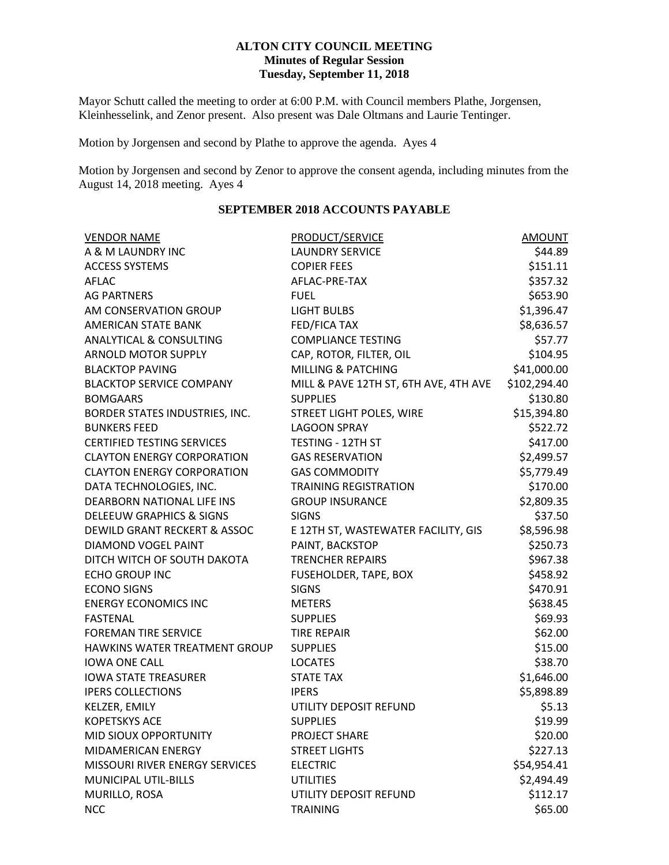### **ALTON CITY COUNCIL MEETING Minutes of Regular Session Tuesday, September 11, 2018**

Mayor Schutt called the meeting to order at 6:00 P.M. with Council members Plathe, Jorgensen, Kleinhesselink, and Zenor present. Also present was Dale Oltmans and Laurie Tentinger.

Motion by Jorgensen and second by Plathe to approve the agenda. Ayes 4

Motion by Jorgensen and second by Zenor to approve the consent agenda, including minutes from the August 14, 2018 meeting. Ayes 4

## **SEPTEMBER 2018 ACCOUNTS PAYABLE**

| <b>VENDOR NAME</b>                      | <b>PRODUCT/SERVICE</b>                | <b>AMOUNT</b> |
|-----------------------------------------|---------------------------------------|---------------|
| A & M LAUNDRY INC                       | <b>LAUNDRY SERVICE</b>                | \$44.89       |
| <b>ACCESS SYSTEMS</b>                   | <b>COPIER FEES</b>                    | \$151.11      |
| AFLAC                                   | AFLAC-PRE-TAX                         | \$357.32      |
| <b>AG PARTNERS</b>                      | <b>FUEL</b>                           | \$653.90      |
| AM CONSERVATION GROUP                   | <b>LIGHT BULBS</b>                    | \$1,396.47    |
| AMERICAN STATE BANK                     | FED/FICA TAX                          | \$8,636.57    |
| <b>ANALYTICAL &amp; CONSULTING</b>      | <b>COMPLIANCE TESTING</b>             | \$57.77       |
| <b>ARNOLD MOTOR SUPPLY</b>              | CAP, ROTOR, FILTER, OIL               | \$104.95      |
| <b>BLACKTOP PAVING</b>                  | <b>MILLING &amp; PATCHING</b>         | \$41,000.00   |
| <b>BLACKTOP SERVICE COMPANY</b>         | MILL & PAVE 12TH ST, 6TH AVE, 4TH AVE | \$102,294.40  |
| <b>BOMGAARS</b>                         | <b>SUPPLIES</b>                       | \$130.80      |
| BORDER STATES INDUSTRIES, INC.          | STREET LIGHT POLES, WIRE              | \$15,394.80   |
| <b>BUNKERS FEED</b>                     | <b>LAGOON SPRAY</b>                   | \$522.72      |
| <b>CERTIFIED TESTING SERVICES</b>       | TESTING - 12TH ST                     | \$417.00      |
| <b>CLAYTON ENERGY CORPORATION</b>       | <b>GAS RESERVATION</b>                | \$2,499.57    |
| <b>CLAYTON ENERGY CORPORATION</b>       | <b>GAS COMMODITY</b>                  | \$5,779.49    |
| DATA TECHNOLOGIES, INC.                 | <b>TRAINING REGISTRATION</b>          | \$170.00      |
| DEARBORN NATIONAL LIFE INS              | <b>GROUP INSURANCE</b>                | \$2,809.35    |
| <b>DELEEUW GRAPHICS &amp; SIGNS</b>     | <b>SIGNS</b>                          | \$37.50       |
| <b>DEWILD GRANT RECKERT &amp; ASSOC</b> | E 12TH ST, WASTEWATER FACILITY, GIS   | \$8,596.98    |
| DIAMOND VOGEL PAINT                     | PAINT, BACKSTOP                       | \$250.73      |
| DITCH WITCH OF SOUTH DAKOTA             | <b>TRENCHER REPAIRS</b>               | \$967.38      |
| <b>ECHO GROUP INC</b>                   | FUSEHOLDER, TAPE, BOX                 | \$458.92      |
| <b>ECONO SIGNS</b>                      | <b>SIGNS</b>                          | \$470.91      |
| <b>ENERGY ECONOMICS INC</b>             | <b>METERS</b>                         | \$638.45      |
| <b>FASTENAL</b>                         | <b>SUPPLIES</b>                       | \$69.93       |
| <b>FOREMAN TIRE SERVICE</b>             | <b>TIRE REPAIR</b>                    | \$62.00       |
| HAWKINS WATER TREATMENT GROUP           | <b>SUPPLIES</b>                       | \$15.00       |
| <b>IOWA ONE CALL</b>                    | <b>LOCATES</b>                        | \$38.70       |
| <b>IOWA STATE TREASURER</b>             | <b>STATE TAX</b>                      | \$1,646.00    |
| <b>IPERS COLLECTIONS</b>                | <b>IPERS</b>                          | \$5,898.89    |
| KELZER, EMILY                           | UTILITY DEPOSIT REFUND                | \$5.13        |
| <b>KOPETSKYS ACE</b>                    | <b>SUPPLIES</b>                       | \$19.99       |
| MID SIOUX OPPORTUNITY                   | PROJECT SHARE                         | \$20.00       |
| MIDAMERICAN ENERGY                      | <b>STREET LIGHTS</b>                  | \$227.13      |
| MISSOURI RIVER ENERGY SERVICES          | <b>ELECTRIC</b>                       | \$54,954.41   |
| MUNICIPAL UTIL-BILLS                    | <b>UTILITIES</b>                      | \$2,494.49    |
| MURILLO, ROSA                           | UTILITY DEPOSIT REFUND                | \$112.17      |
| <b>NCC</b>                              | <b>TRAINING</b>                       | \$65.00       |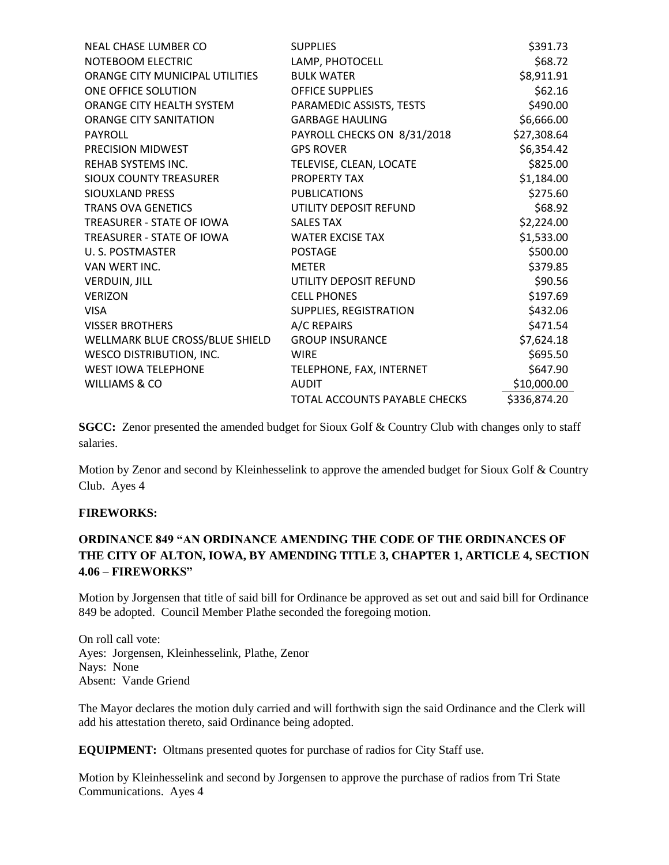| <b>NEAL CHASE LUMBER CO</b>     | <b>SUPPLIES</b>                      | \$391.73     |
|---------------------------------|--------------------------------------|--------------|
| NOTEBOOM ELECTRIC               | LAMP, PHOTOCELL                      | \$68.72      |
| ORANGE CITY MUNICIPAL UTILITIES | <b>BULK WATER</b>                    | \$8,911.91   |
| ONE OFFICE SOLUTION             | <b>OFFICE SUPPLIES</b>               | \$62.16      |
| ORANGE CITY HEALTH SYSTEM       | PARAMEDIC ASSISTS, TESTS             | \$490.00     |
| <b>ORANGE CITY SANITATION</b>   | <b>GARBAGE HAULING</b>               | \$6,666.00   |
| PAYROLL                         | PAYROLL CHECKS ON 8/31/2018          | \$27,308.64  |
| PRECISION MIDWEST               | <b>GPS ROVER</b>                     | \$6,354.42   |
| REHAB SYSTEMS INC.              | TELEVISE, CLEAN, LOCATE              | \$825.00     |
| SIOUX COUNTY TREASURER          | <b>PROPERTY TAX</b>                  | \$1,184.00   |
| <b>SIOUXLAND PRESS</b>          | <b>PUBLICATIONS</b>                  | \$275.60     |
| <b>TRANS OVA GENETICS</b>       | UTILITY DEPOSIT REFUND               | \$68.92      |
| TREASURER - STATE OF IOWA       | <b>SALES TAX</b>                     | \$2,224.00   |
| TREASURER - STATE OF IOWA       | <b>WATER EXCISE TAX</b>              | \$1,533.00   |
| U. S. POSTMASTER                | <b>POSTAGE</b>                       | \$500.00     |
| VAN WERT INC.                   | <b>METER</b>                         | \$379.85     |
| <b>VERDUIN, JILL</b>            | UTILITY DEPOSIT REFUND               | \$90.56      |
| <b>VERIZON</b>                  | <b>CELL PHONES</b>                   | \$197.69     |
| <b>VISA</b>                     | SUPPLIES, REGISTRATION               | \$432.06     |
| <b>VISSER BROTHERS</b>          | A/C REPAIRS                          | \$471.54     |
| WELLMARK BLUE CROSS/BLUE SHIELD | <b>GROUP INSURANCE</b>               | \$7,624.18   |
| <b>WESCO DISTRIBUTION, INC.</b> | <b>WIRE</b>                          | \$695.50     |
| <b>WEST IOWA TELEPHONE</b>      | TELEPHONE, FAX, INTERNET             | \$647.90     |
| <b>WILLIAMS &amp; CO</b>        | <b>AUDIT</b>                         | \$10,000.00  |
|                                 | <b>TOTAL ACCOUNTS PAYABLE CHECKS</b> | \$336,874.20 |

**SGCC:** Zenor presented the amended budget for Sioux Golf & Country Club with changes only to staff salaries.

Motion by Zenor and second by Kleinhesselink to approve the amended budget for Sioux Golf & Country Club. Ayes 4

### **FIREWORKS:**

# **ORDINANCE 849 "AN ORDINANCE AMENDING THE CODE OF THE ORDINANCES OF THE CITY OF ALTON, IOWA, BY AMENDING TITLE 3, CHAPTER 1, ARTICLE 4, SECTION 4.06 – FIREWORKS"**

Motion by Jorgensen that title of said bill for Ordinance be approved as set out and said bill for Ordinance 849 be adopted. Council Member Plathe seconded the foregoing motion.

On roll call vote: Ayes: Jorgensen, Kleinhesselink, Plathe, Zenor Nays: None Absent: Vande Griend

The Mayor declares the motion duly carried and will forthwith sign the said Ordinance and the Clerk will add his attestation thereto, said Ordinance being adopted.

**EQUIPMENT:** Oltmans presented quotes for purchase of radios for City Staff use.

Motion by Kleinhesselink and second by Jorgensen to approve the purchase of radios from Tri State Communications. Ayes 4